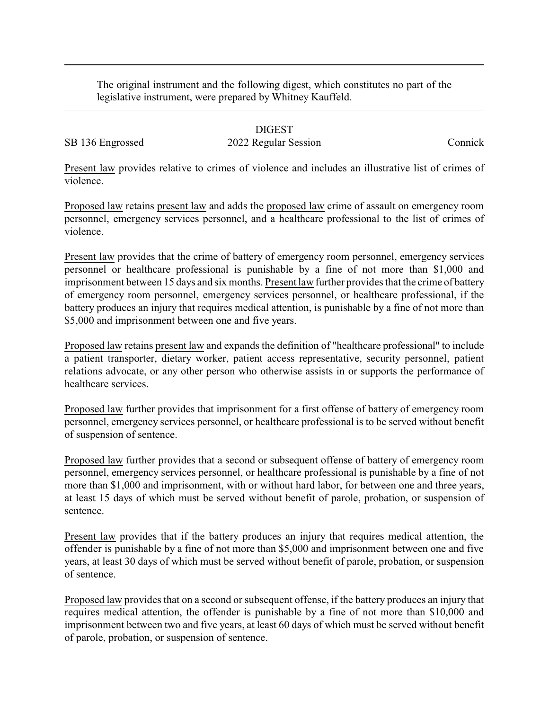The original instrument and the following digest, which constitutes no part of the legislative instrument, were prepared by Whitney Kauffeld.

## DIGEST

SB 136 Engrossed 2022 Regular Session Connick

Present law provides relative to crimes of violence and includes an illustrative list of crimes of violence.

Proposed law retains present law and adds the proposed law crime of assault on emergency room personnel, emergency services personnel, and a healthcare professional to the list of crimes of violence.

Present law provides that the crime of battery of emergency room personnel, emergency services personnel or healthcare professional is punishable by a fine of not more than \$1,000 and imprisonment between 15 days and six months. Present law further provides that the crime of battery of emergency room personnel, emergency services personnel, or healthcare professional, if the battery produces an injury that requires medical attention, is punishable by a fine of not more than \$5,000 and imprisonment between one and five years.

Proposed law retains present law and expands the definition of "healthcare professional" to include a patient transporter, dietary worker, patient access representative, security personnel, patient relations advocate, or any other person who otherwise assists in or supports the performance of healthcare services.

Proposed law further provides that imprisonment for a first offense of battery of emergency room personnel, emergency services personnel, or healthcare professional is to be served without benefit of suspension of sentence.

Proposed law further provides that a second or subsequent offense of battery of emergency room personnel, emergency services personnel, or healthcare professional is punishable by a fine of not more than \$1,000 and imprisonment, with or without hard labor, for between one and three years, at least 15 days of which must be served without benefit of parole, probation, or suspension of sentence.

Present law provides that if the battery produces an injury that requires medical attention, the offender is punishable by a fine of not more than \$5,000 and imprisonment between one and five years, at least 30 days of which must be served without benefit of parole, probation, or suspension of sentence.

Proposed law provides that on a second or subsequent offense, if the battery produces an injury that requires medical attention, the offender is punishable by a fine of not more than \$10,000 and imprisonment between two and five years, at least 60 days of which must be served without benefit of parole, probation, or suspension of sentence.